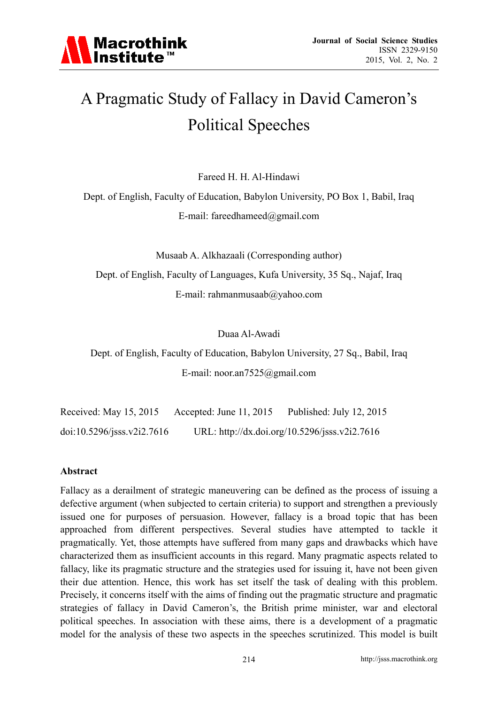

# A Pragmatic Study of Fallacy in David Cameron's Political Speeches

Fareed H. H. Al-Hindawi

Dept. of English, Faculty of Education, Babylon University, PO Box 1, Babil, Iraq E-mail: fareedhameed@gmail.com

Musaab A. Alkhazaali (Corresponding author)

Dept. of English, Faculty of Languages, Kufa University, 35 Sq., Najaf, Iraq E-mail: rahmanmusaab@yahoo.com

Duaa Al-Awadi

Dept. of English, Faculty of Education, Babylon University, 27 Sq., Babil, Iraq E-mail: noor.an7525@gmail.com

Received: May 15, 2015 Accepted: June 11, 2015 Published: July 12, 2015 doi:10.5296/jsss.v2i2.7616 URL: http://dx.doi.org/10.5296/jsss.v2i2.7616

# **Abstract**

Fallacy as a derailment of strategic maneuvering can be defined as the process of issuing a defective argument (when subjected to certain criteria) to support and strengthen a previously issued one for purposes of persuasion. However, fallacy is a broad topic that has been approached from different perspectives. Several studies have attempted to tackle it pragmatically. Yet, those attempts have suffered from many gaps and drawbacks which have characterized them as insufficient accounts in this regard. Many pragmatic aspects related to fallacy, like its pragmatic structure and the strategies used for issuing it, have not been given their due attention. Hence, this work has set itself the task of dealing with this problem. Precisely, it concerns itself with the aims of finding out the pragmatic structure and pragmatic strategies of fallacy in David Cameron's, the British prime minister, war and electoral political speeches. In association with these aims, there is a development of a pragmatic model for the analysis of these two aspects in the speeches scrutinized. This model is built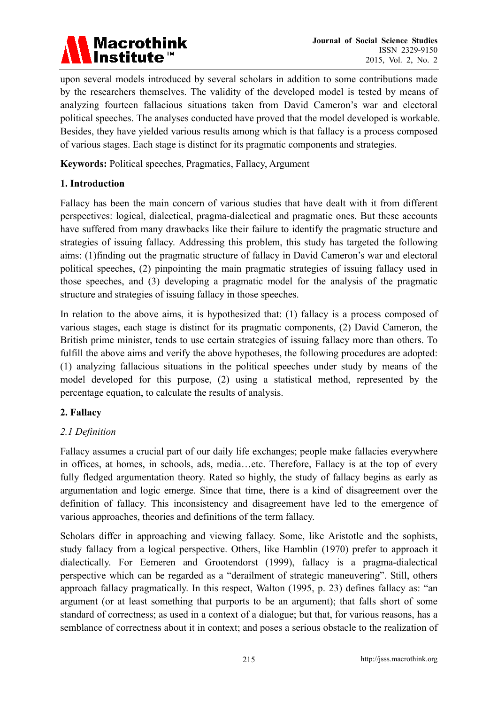

upon several models introduced by several scholars in addition to some contributions made by the researchers themselves. The validity of the developed model is tested by means of analyzing fourteen fallacious situations taken from David Cameron's war and electoral political speeches. The analyses conducted have proved that the model developed is workable. Besides, they have yielded various results among which is that fallacy is a process composed of various stages. Each stage is distinct for its pragmatic components and strategies.

**Keywords:** Political speeches, Pragmatics, Fallacy, Argument

# **1. Introduction**

Fallacy has been the main concern of various studies that have dealt with it from different perspectives: logical, dialectical, pragma-dialectical and pragmatic ones. But these accounts have suffered from many drawbacks like their failure to identify the pragmatic structure and strategies of issuing fallacy. Addressing this problem, this study has targeted the following aims: (1)finding out the pragmatic structure of fallacy in David Cameron's war and electoral political speeches, (2) pinpointing the main pragmatic strategies of issuing fallacy used in those speeches, and (3) developing a pragmatic model for the analysis of the pragmatic structure and strategies of issuing fallacy in those speeches.

In relation to the above aims, it is hypothesized that: (1) fallacy is a process composed of various stages, each stage is distinct for its pragmatic components, (2) David Cameron, the British prime minister, tends to use certain strategies of issuing fallacy more than others. To fulfill the above aims and verify the above hypotheses, the following procedures are adopted: (1) analyzing fallacious situations in the political speeches under study by means of the model developed for this purpose, (2) using a statistical method, represented by the percentage equation, to calculate the results of analysis.

# **2. Fallacy**

# *2.1 Definition*

Fallacy assumes a crucial part of our daily life exchanges; people make fallacies everywhere in offices, at homes, in schools, ads, media…etc. Therefore, Fallacy is at the top of every fully fledged argumentation theory. Rated so highly, the study of fallacy begins as early as argumentation and logic emerge. Since that time, there is a kind of disagreement over the definition of fallacy. This inconsistency and disagreement have led to the emergence of various approaches, theories and definitions of the term fallacy.

Scholars differ in approaching and viewing fallacy. Some, like Aristotle and the sophists, study fallacy from a logical perspective. Others, like Hamblin (1970) prefer to approach it dialectically. For Eemeren and Grootendorst (1999), fallacy is a pragma-dialectical perspective which can be regarded as a "derailment of strategic maneuvering". Still, others approach fallacy pragmatically. In this respect, Walton (1995, p. 23) defines fallacy as: "an argument (or at least something that purports to be an argument); that falls short of some standard of correctness; as used in a context of a dialogue; but that, for various reasons, has a semblance of correctness about it in context; and poses a serious obstacle to the realization of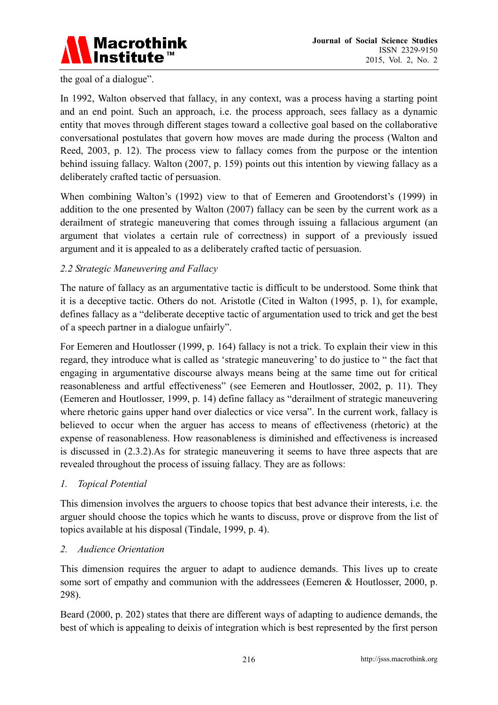

the goal of a dialogue".

In 1992, Walton observed that fallacy, in any context, was a process having a starting point and an end point. Such an approach, i.e. the process approach, sees fallacy as a dynamic entity that moves through different stages toward a collective goal based on the collaborative conversational postulates that govern how moves are made during the process (Walton and Reed, 2003, p. 12). The process view to fallacy comes from the purpose or the intention behind issuing fallacy. Walton (2007, p. 159) points out this intention by viewing fallacy as a deliberately crafted tactic of persuasion.

When combining Walton's (1992) view to that of Eemeren and Grootendorst's (1999) in addition to the one presented by Walton (2007) fallacy can be seen by the current work as a derailment of strategic maneuvering that comes through issuing a fallacious argument (an argument that violates a certain rule of correctness) in support of a previously issued argument and it is appealed to as a deliberately crafted tactic of persuasion.

# *2.2 Strategic Maneuvering and Fallacy*

The nature of fallacy as an argumentative tactic is difficult to be understood. Some think that it is a deceptive tactic. Others do not. Aristotle (Cited in Walton (1995, p. 1), for example, defines fallacy as a "deliberate deceptive tactic of argumentation used to trick and get the best of a speech partner in a dialogue unfairly".

For Eemeren and Houtlosser (1999, p. 164) fallacy is not a trick. To explain their view in this regard, they introduce what is called as 'strategic maneuvering' to do justice to " the fact that engaging in argumentative discourse always means being at the same time out for critical reasonableness and artful effectiveness" (see Eemeren and Houtlosser, 2002, p. 11). They (Eemeren and Houtlosser, 1999, p. 14) define fallacy as "derailment of strategic maneuvering where rhetoric gains upper hand over dialectics or vice versa". In the current work, fallacy is believed to occur when the arguer has access to means of effectiveness (rhetoric) at the expense of reasonableness. How reasonableness is diminished and effectiveness is increased is discussed in (2.3.2).As for strategic maneuvering it seems to have three aspects that are revealed throughout the process of issuing fallacy. They are as follows:

# *1. Topical Potential*

This dimension involves the arguers to choose topics that best advance their interests, i.e. the arguer should choose the topics which he wants to discuss, prove or disprove from the list of topics available at his disposal (Tindale, 1999, p. 4).

# *2. Audience Orientation*

This dimension requires the arguer to adapt to audience demands. This lives up to create some sort of empathy and communion with the addressees (Eemeren & Houtlosser, 2000, p. 298).

Beard (2000, p. 202) states that there are different ways of adapting to audience demands, the best of which is appealing to deixis of integration which is best represented by the first person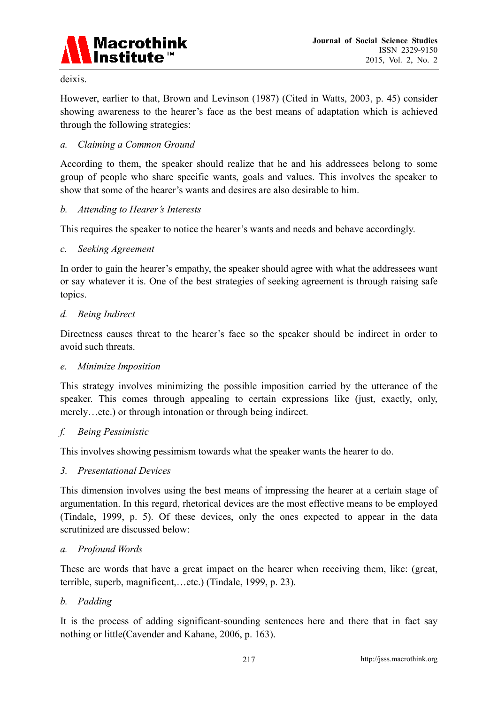

deixis.

However, earlier to that, Brown and Levinson (1987) (Cited in Watts, 2003, p. 45) consider showing awareness to the hearer's face as the best means of adaptation which is achieved through the following strategies:

# *a. Claiming a Common Ground*

According to them, the speaker should realize that he and his addressees belong to some group of people who share specific wants, goals and values. This involves the speaker to show that some of the hearer's wants and desires are also desirable to him.

# *b. Attending to Hearer's Interests*

This requires the speaker to notice the hearer's wants and needs and behave accordingly.

#### *c. Seeking Agreement*

In order to gain the hearer's empathy, the speaker should agree with what the addressees want or say whatever it is. One of the best strategies of seeking agreement is through raising safe topics.

# *d. Being Indirect*

Directness causes threat to the hearer's face so the speaker should be indirect in order to avoid such threats.

# *e. Minimize Imposition*

This strategy involves minimizing the possible imposition carried by the utterance of the speaker. This comes through appealing to certain expressions like (just, exactly, only, merely…etc.) or through intonation or through being indirect.

# *f. Being Pessimistic*

This involves showing pessimism towards what the speaker wants the hearer to do.

#### *3. Presentational Devices*

This dimension involves using the best means of impressing the hearer at a certain stage of argumentation. In this regard, rhetorical devices are the most effective means to be employed (Tindale, 1999, p. 5). Of these devices, only the ones expected to appear in the data scrutinized are discussed below:

#### *a. Profound Words*

These are words that have a great impact on the hearer when receiving them, like: (great, terrible, superb, magnificent,…etc.) (Tindale, 1999, p. 23).

# *b. Padding*

It is the process of adding significant-sounding sentences here and there that in fact say nothing or little(Cavender and Kahane, 2006, p. 163).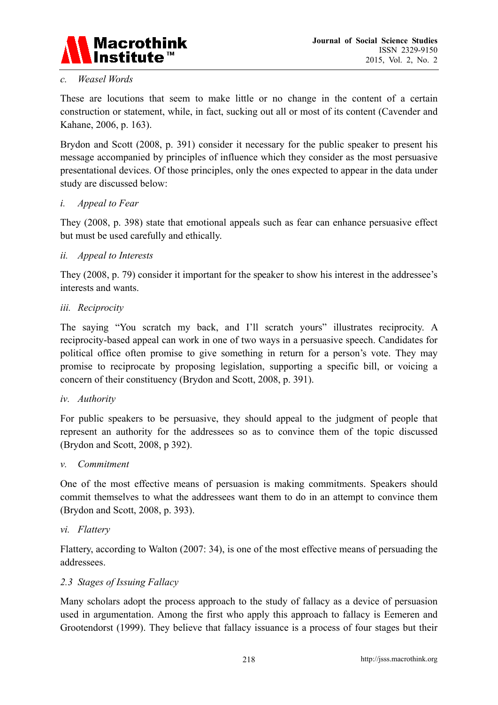

# *c. Weasel Words*

These are locutions that seem to make little or no change in the content of a certain construction or statement, while, in fact, sucking out all or most of its content (Cavender and Kahane, 2006, p. 163).

Brydon and Scott (2008, p. 391) consider it necessary for the public speaker to present his message accompanied by principles of influence which they consider as the most persuasive presentational devices. Of those principles, only the ones expected to appear in the data under study are discussed below:

#### *i. Appeal to Fear*

They (2008, p. 398) state that emotional appeals such as fear can enhance persuasive effect but must be used carefully and ethically.

#### *ii. Appeal to Interests*

They (2008, p. 79) consider it important for the speaker to show his interest in the addressee's interests and wants.

#### *iii. Reciprocity*

The saying "You scratch my back, and I'll scratch yours" illustrates reciprocity. A reciprocity-based appeal can work in one of two ways in a persuasive speech. Candidates for political office often promise to give something in return for a person's vote. They may promise to reciprocate by proposing legislation, supporting a specific bill, or voicing a concern of their constituency (Brydon and Scott, 2008, p. 391).

#### *iv. Authority*

For public speakers to be persuasive, they should appeal to the judgment of people that represent an authority for the addressees so as to convince them of the topic discussed (Brydon and Scott, 2008, p 392).

#### *v. Commitment*

One of the most effective means of persuasion is making commitments. Speakers should commit themselves to what the addressees want them to do in an attempt to convince them (Brydon and Scott, 2008, p. 393).

#### *vi. Flattery*

Flattery, according to Walton (2007: 34), is one of the most effective means of persuading the addressees.

#### *2.3 Stages of Issuing Fallacy*

Many scholars adopt the process approach to the study of fallacy as a device of persuasion used in argumentation. Among the first who apply this approach to fallacy is Eemeren and Grootendorst (1999). They believe that fallacy issuance is a process of four stages but their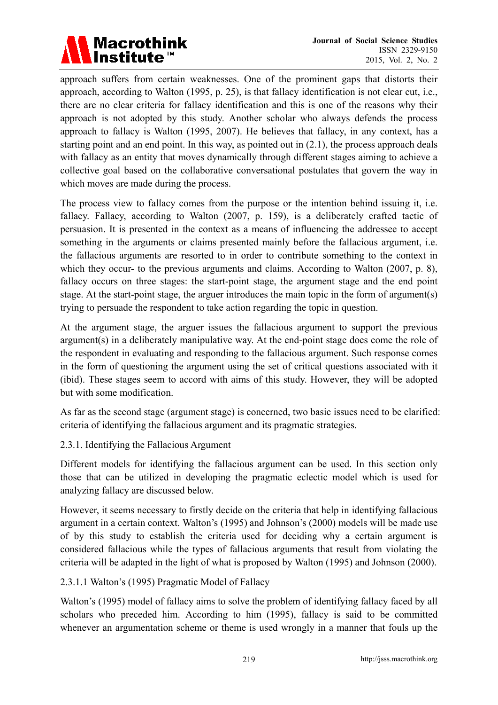

approach suffers from certain weaknesses. One of the prominent gaps that distorts their approach, according to Walton (1995, p. 25), is that fallacy identification is not clear cut, i.e., there are no clear criteria for fallacy identification and this is one of the reasons why their approach is not adopted by this study. Another scholar who always defends the process approach to fallacy is Walton (1995, 2007). He believes that fallacy, in any context, has a starting point and an end point. In this way, as pointed out in (2.1), the process approach deals with fallacy as an entity that moves dynamically through different stages aiming to achieve a collective goal based on the collaborative conversational postulates that govern the way in which moves are made during the process.

The process view to fallacy comes from the purpose or the intention behind issuing it, i.e. fallacy. Fallacy, according to Walton (2007, p. 159), is a deliberately crafted tactic of persuasion. It is presented in the context as a means of influencing the addressee to accept something in the arguments or claims presented mainly before the fallacious argument, i.e. the fallacious arguments are resorted to in order to contribute something to the context in which they occur- to the previous arguments and claims. According to Walton (2007, p. 8), fallacy occurs on three stages: the start-point stage, the argument stage and the end point stage. At the start-point stage, the arguer introduces the main topic in the form of argument(s) trying to persuade the respondent to take action regarding the topic in question.

At the argument stage, the arguer issues the fallacious argument to support the previous argument(s) in a deliberately manipulative way. At the end-point stage does come the role of the respondent in evaluating and responding to the fallacious argument. Such response comes in the form of questioning the argument using the set of critical questions associated with it (ibid). These stages seem to accord with aims of this study. However, they will be adopted but with some modification.

As far as the second stage (argument stage) is concerned, two basic issues need to be clarified: criteria of identifying the fallacious argument and its pragmatic strategies.

# 2.3.1. Identifying the Fallacious Argument

Different models for identifying the fallacious argument can be used. In this section only those that can be utilized in developing the pragmatic eclectic model which is used for analyzing fallacy are discussed below.

However, it seems necessary to firstly decide on the criteria that help in identifying fallacious argument in a certain context. Walton's (1995) and Johnson's (2000) models will be made use of by this study to establish the criteria used for deciding why a certain argument is considered fallacious while the types of fallacious arguments that result from violating the criteria will be adapted in the light of what is proposed by Walton (1995) and Johnson (2000).

# 2.3.1.1 Walton's (1995) Pragmatic Model of Fallacy

Walton's (1995) model of fallacy aims to solve the problem of identifying fallacy faced by all scholars who preceded him. According to him (1995), fallacy is said to be committed whenever an argumentation scheme or theme is used wrongly in a manner that fouls up the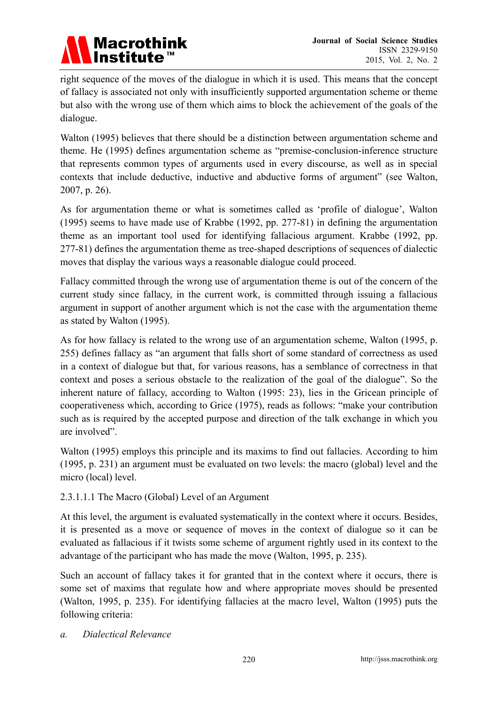

right sequence of the moves of the dialogue in which it is used. This means that the concept of fallacy is associated not only with insufficiently supported argumentation scheme or theme but also with the wrong use of them which aims to block the achievement of the goals of the dialogue.

Walton (1995) believes that there should be a distinction between argumentation scheme and theme. He (1995) defines argumentation scheme as "premise-conclusion-inference structure that represents common types of arguments used in every discourse, as well as in special contexts that include deductive, inductive and abductive forms of argument" (see Walton, 2007, p. 26).

As for argumentation theme or what is sometimes called as 'profile of dialogue', Walton (1995) seems to have made use of Krabbe (1992, pp. 277-81) in defining the argumentation theme as an important tool used for identifying fallacious argument. Krabbe (1992, pp. 277-81) defines the argumentation theme as tree-shaped descriptions of sequences of dialectic moves that display the various ways a reasonable dialogue could proceed.

Fallacy committed through the wrong use of argumentation theme is out of the concern of the current study since fallacy, in the current work, is committed through issuing a fallacious argument in support of another argument which is not the case with the argumentation theme as stated by Walton (1995).

As for how fallacy is related to the wrong use of an argumentation scheme, Walton (1995, p. 255) defines fallacy as "an argument that falls short of some standard of correctness as used in a context of dialogue but that, for various reasons, has a semblance of correctness in that context and poses a serious obstacle to the realization of the goal of the dialogue". So the inherent nature of fallacy, according to Walton (1995: 23), lies in the Gricean principle of cooperativeness which, according to Grice (1975), reads as follows: "make your contribution such as is required by the accepted purpose and direction of the talk exchange in which you are involved".

Walton (1995) employs this principle and its maxims to find out fallacies. According to him (1995, p. 231) an argument must be evaluated on two levels: the macro (global) level and the micro (local) level.

2.3.1.1.1 The Macro (Global) Level of an Argument

At this level, the argument is evaluated systematically in the context where it occurs. Besides, it is presented as a move or sequence of moves in the context of dialogue so it can be evaluated as fallacious if it twists some scheme of argument rightly used in its context to the advantage of the participant who has made the move (Walton, 1995, p. 235).

Such an account of fallacy takes it for granted that in the context where it occurs, there is some set of maxims that regulate how and where appropriate moves should be presented (Walton, 1995, p. 235). For identifying fallacies at the macro level, Walton (1995) puts the following criteria:

*a. Dialectical Relevance*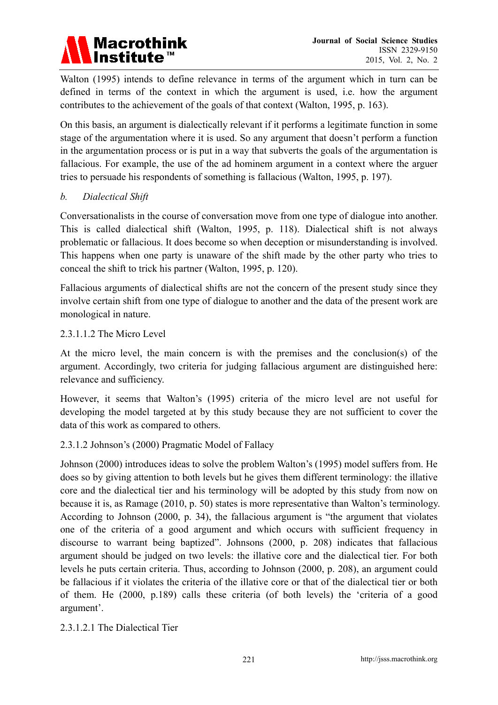

Walton (1995) intends to define relevance in terms of the argument which in turn can be defined in terms of the context in which the argument is used, i.e. how the argument contributes to the achievement of the goals of that context (Walton, 1995, p. 163).

On this basis, an argument is dialectically relevant if it performs a legitimate function in some stage of the argumentation where it is used. So any argument that doesn't perform a function in the argumentation process or is put in a way that subverts the goals of the argumentation is fallacious. For example, the use of the ad hominem argument in a context where the arguer tries to persuade his respondents of something is fallacious (Walton, 1995, p. 197).

# *b. Dialectical Shift*

Conversationalists in the course of conversation move from one type of dialogue into another. This is called dialectical shift (Walton, 1995, p. 118). Dialectical shift is not always problematic or fallacious. It does become so when deception or misunderstanding is involved. This happens when one party is unaware of the shift made by the other party who tries to conceal the shift to trick his partner (Walton, 1995, p. 120).

Fallacious arguments of dialectical shifts are not the concern of the present study since they involve certain shift from one type of dialogue to another and the data of the present work are monological in nature.

#### 2.3.1.1.2 The Micro Level

At the micro level, the main concern is with the premises and the conclusion(s) of the argument. Accordingly, two criteria for judging fallacious argument are distinguished here: relevance and sufficiency.

However, it seems that Walton's (1995) criteria of the micro level are not useful for developing the model targeted at by this study because they are not sufficient to cover the data of this work as compared to others.

# 2.3.1.2 Johnson's (2000) Pragmatic Model of Fallacy

Johnson (2000) introduces ideas to solve the problem Walton's (1995) model suffers from. He does so by giving attention to both levels but he gives them different terminology: the illative core and the dialectical tier and his terminology will be adopted by this study from now on because it is, as Ramage (2010, p. 50) states is more representative than Walton's terminology. According to Johnson (2000, p. 34), the fallacious argument is "the argument that violates one of the criteria of a good argument and which occurs with sufficient frequency in discourse to warrant being baptized". Johnsons (2000, p. 208) indicates that fallacious argument should be judged on two levels: the illative core and the dialectical tier. For both levels he puts certain criteria. Thus, according to Johnson (2000, p. 208), an argument could be fallacious if it violates the criteria of the illative core or that of the dialectical tier or both of them. He (2000, p.189) calls these criteria (of both levels) the 'criteria of a good argument'.

2.3.1.2.1 The Dialectical Tier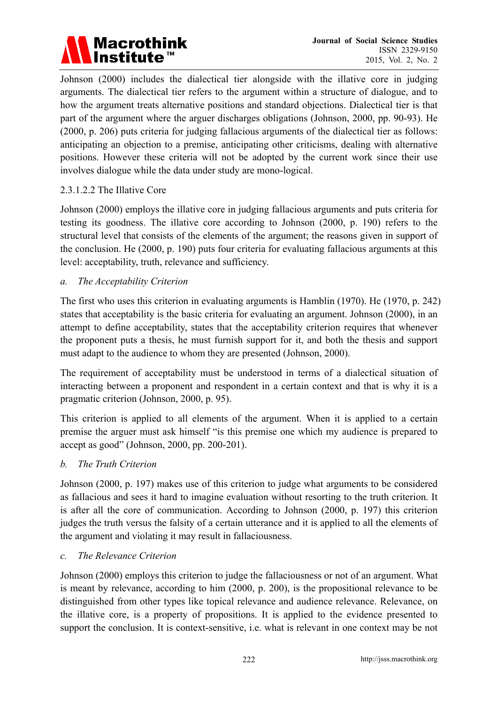# Macrot<mark>hink</mark><br>Institute™

Johnson (2000) includes the dialectical tier alongside with the illative core in judging arguments. The dialectical tier refers to the argument within a structure of dialogue, and to how the argument treats alternative positions and standard objections. Dialectical tier is that part of the argument where the arguer discharges obligations (Johnson, 2000, pp. 90-93). He (2000, p. 206) puts criteria for judging fallacious arguments of the dialectical tier as follows: anticipating an objection to a premise, anticipating other criticisms, dealing with alternative positions. However these criteria will not be adopted by the current work since their use involves dialogue while the data under study are mono-logical.

# 2.3.1.2.2 The Illative Core

Johnson (2000) employs the illative core in judging fallacious arguments and puts criteria for testing its goodness. The illative core according to Johnson (2000, p. 190) refers to the structural level that consists of the elements of the argument; the reasons given in support of the conclusion. He (2000, p. 190) puts four criteria for evaluating fallacious arguments at this level: acceptability, truth, relevance and sufficiency.

# *a. The Acceptability Criterion*

The first who uses this criterion in evaluating arguments is Hamblin (1970). He (1970, p. 242) states that acceptability is the basic criteria for evaluating an argument. Johnson (2000), in an attempt to define acceptability, states that the acceptability criterion requires that whenever the proponent puts a thesis, he must furnish support for it, and both the thesis and support must adapt to the audience to whom they are presented (Johnson, 2000).

The requirement of acceptability must be understood in terms of a dialectical situation of interacting between a proponent and respondent in a certain context and that is why it is a pragmatic criterion (Johnson, 2000, p. 95).

This criterion is applied to all elements of the argument. When it is applied to a certain premise the arguer must ask himself "is this premise one which my audience is prepared to accept as good" (Johnson, 2000, pp. 200-201).

# *b. The Truth Criterion*

Johnson (2000, p. 197) makes use of this criterion to judge what arguments to be considered as fallacious and sees it hard to imagine evaluation without resorting to the truth criterion. It is after all the core of communication. According to Johnson (2000, p. 197) this criterion judges the truth versus the falsity of a certain utterance and it is applied to all the elements of the argument and violating it may result in fallaciousness.

# *c. The Relevance Criterion*

Johnson (2000) employs this criterion to judge the fallaciousness or not of an argument. What is meant by relevance, according to him (2000, p. 200), is the propositional relevance to be distinguished from other types like topical relevance and audience relevance. Relevance, on the illative core, is a property of propositions. It is applied to the evidence presented to support the conclusion. It is context-sensitive, i.e. what is relevant in one context may be not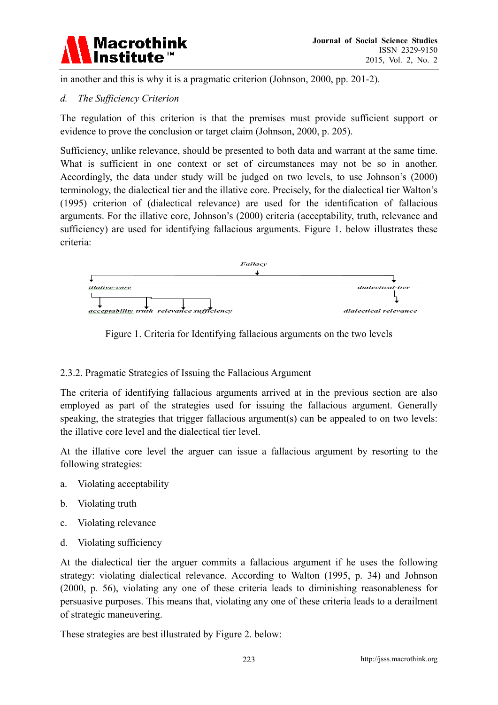

in another and this is why it is a pragmatic criterion (Johnson, 2000, pp. 201-2).

# *d. The Sufficiency Criterion*

The regulation of this criterion is that the premises must provide sufficient support or evidence to prove the conclusion or target claim (Johnson, 2000, p. 205).

Sufficiency, unlike relevance, should be presented to both data and warrant at the same time. What is sufficient in one context or set of circumstances may not be so in another. Accordingly, the data under study will be judged on two levels, to use Johnson's (2000) terminology, the dialectical tier and the illative core. Precisely, for the dialectical tier Walton's (1995) criterion of (dialectical relevance) are used for the identification of fallacious arguments. For the illative core, Johnson's (2000) criteria (acceptability, truth, relevance and sufficiency) are used for identifying fallacious arguments. Figure 1. below illustrates these criteria:



Figure 1. Criteria for Identifying fallacious arguments on the two levels

# 2.3.2. Pragmatic Strategies of Issuing the Fallacious Argument

The criteria of identifying fallacious arguments arrived at in the previous section are also employed as part of the strategies used for issuing the fallacious argument. Generally speaking, the strategies that trigger fallacious argument(s) can be appealed to on two levels: the illative core level and the dialectical tier level.

At the illative core level the arguer can issue a fallacious argument by resorting to the following strategies:

- a. Violating acceptability
- b. Violating truth
- c. Violating relevance
- d. Violating sufficiency

At the dialectical tier the arguer commits a fallacious argument if he uses the following strategy: violating dialectical relevance. According to Walton (1995, p. 34) and Johnson (2000, p. 56), violating any one of these criteria leads to diminishing reasonableness for persuasive purposes. This means that, violating any one of these criteria leads to a derailment of strategic maneuvering.

These strategies are best illustrated by Figure 2. below: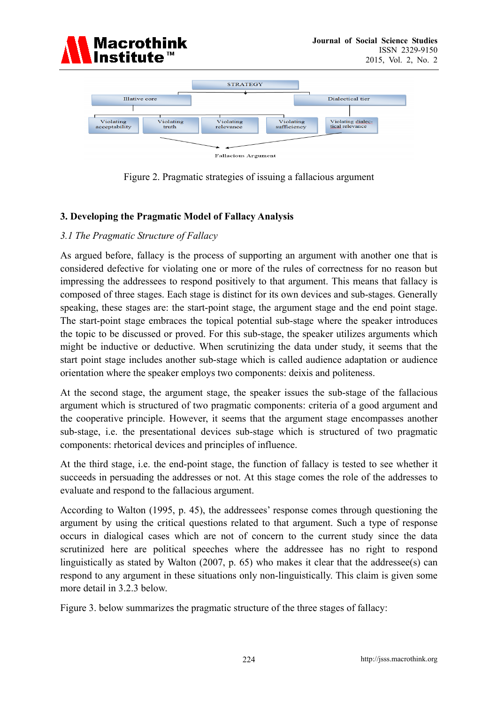



Figure 2. Pragmatic strategies of issuing a fallacious argument

# **3. Developing the Pragmatic Model of Fallacy Analysis**

# *3.1 The Pragmatic Structure of Fallacy*

As argued before, fallacy is the process of supporting an argument with another one that is considered defective for violating one or more of the rules of correctness for no reason but impressing the addressees to respond positively to that argument. This means that fallacy is composed of three stages. Each stage is distinct for its own devices and sub-stages. Generally speaking, these stages are: the start-point stage, the argument stage and the end point stage. The start-point stage embraces the topical potential sub-stage where the speaker introduces the topic to be discussed or proved. For this sub-stage, the speaker utilizes arguments which might be inductive or deductive. When scrutinizing the data under study, it seems that the start point stage includes another sub-stage which is called audience adaptation or audience orientation where the speaker employs two components: deixis and politeness.

At the second stage, the argument stage, the speaker issues the sub-stage of the fallacious argument which is structured of two pragmatic components: criteria of a good argument and the cooperative principle. However, it seems that the argument stage encompasses another sub-stage, i.e. the presentational devices sub-stage which is structured of two pragmatic components: rhetorical devices and principles of influence.

At the third stage, i.e. the end-point stage, the function of fallacy is tested to see whether it succeeds in persuading the addresses or not. At this stage comes the role of the addresses to evaluate and respond to the fallacious argument.

According to Walton (1995, p. 45), the addressees' response comes through questioning the argument by using the critical questions related to that argument. Such a type of response occurs in dialogical cases which are not of concern to the current study since the data scrutinized here are political speeches where the addressee has no right to respond linguistically as stated by Walton (2007, p. 65) who makes it clear that the addressee(s) can respond to any argument in these situations only non-linguistically. This claim is given some more detail in 3.2.3 below.

Figure 3. below summarizes the pragmatic structure of the three stages of fallacy: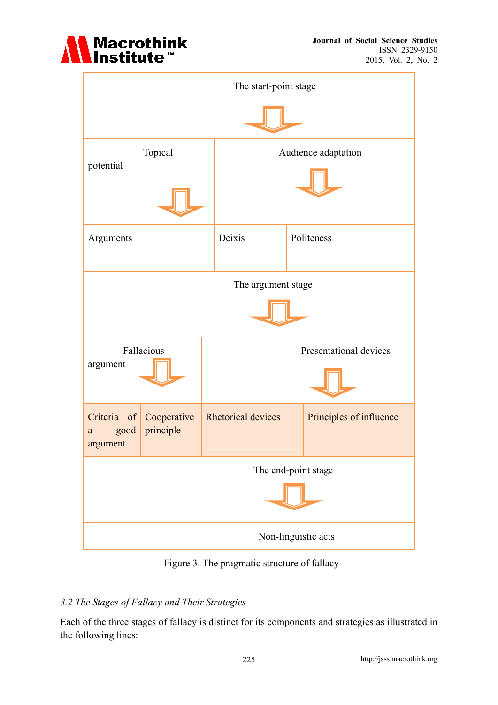

| The start-point stage                |                          |                        |                           |  |                         |  |  |  |  |
|--------------------------------------|--------------------------|------------------------|---------------------------|--|-------------------------|--|--|--|--|
|                                      |                          |                        |                           |  |                         |  |  |  |  |
| Topical                              |                          |                        | Audience adaptation       |  |                         |  |  |  |  |
| potential                            |                          |                        |                           |  |                         |  |  |  |  |
| Arguments                            |                          |                        | Deixis                    |  | Politeness              |  |  |  |  |
| The argument stage                   |                          |                        |                           |  |                         |  |  |  |  |
|                                      |                          |                        |                           |  |                         |  |  |  |  |
| Fallacious                           |                          | Presentational devices |                           |  |                         |  |  |  |  |
| argument                             |                          |                        |                           |  |                         |  |  |  |  |
| Criteria of<br>good<br>a<br>argument | Cooperative<br>principle |                        | <b>Rhetorical devices</b> |  | Principles of influence |  |  |  |  |
| The end-point stage                  |                          |                        |                           |  |                         |  |  |  |  |
|                                      |                          |                        |                           |  |                         |  |  |  |  |
| Non-linguistic acts                  |                          |                        |                           |  |                         |  |  |  |  |

Figure 3. The pragmatic structure of fallacy

# *3.2 The Stages of Fallacy and Their Strategies*

Each of the three stages of fallacy is distinct for its components and strategies as illustrated in the following lines: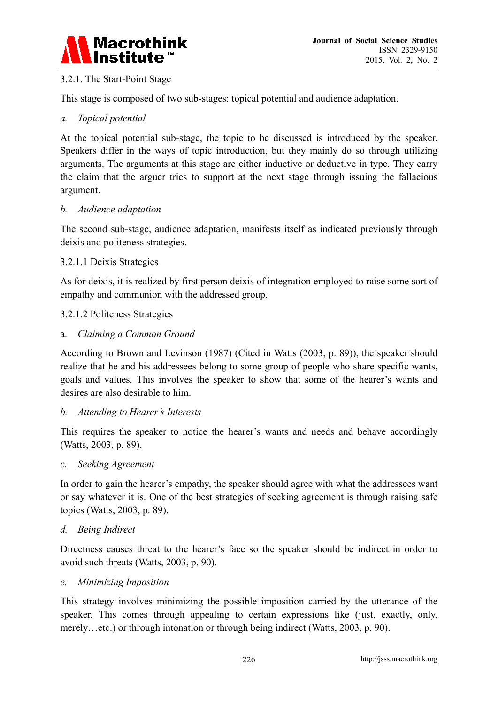

# 3.2.1. The Start-Point Stage

This stage is composed of two sub-stages: topical potential and audience adaptation.

# *a. Topical potential*

At the topical potential sub-stage, the topic to be discussed is introduced by the speaker. Speakers differ in the ways of topic introduction, but they mainly do so through utilizing arguments. The arguments at this stage are either inductive or deductive in type. They carry the claim that the arguer tries to support at the next stage through issuing the fallacious argument.

#### *b. Audience adaptation*

The second sub-stage, audience adaptation, manifests itself as indicated previously through deixis and politeness strategies.

#### 3.2.1.1 Deixis Strategies

As for deixis, it is realized by first person deixis of integration employed to raise some sort of empathy and communion with the addressed group.

#### 3.2.1.2 Politeness Strategies

#### a. *Claiming a Common Ground*

According to Brown and Levinson (1987) (Cited in Watts (2003, p. 89)), the speaker should realize that he and his addressees belong to some group of people who share specific wants, goals and values. This involves the speaker to show that some of the hearer's wants and desires are also desirable to him.

#### *b. Attending to Hearer's Interests*

This requires the speaker to notice the hearer's wants and needs and behave accordingly (Watts, 2003, p. 89).

#### *c. Seeking Agreement*

In order to gain the hearer's empathy, the speaker should agree with what the addressees want or say whatever it is. One of the best strategies of seeking agreement is through raising safe topics (Watts, 2003, p. 89).

# *d. Being Indirect*

Directness causes threat to the hearer's face so the speaker should be indirect in order to avoid such threats (Watts, 2003, p. 90).

#### *e. Minimizing Imposition*

This strategy involves minimizing the possible imposition carried by the utterance of the speaker. This comes through appealing to certain expressions like (just, exactly, only, merely…etc.) or through intonation or through being indirect (Watts, 2003, p. 90).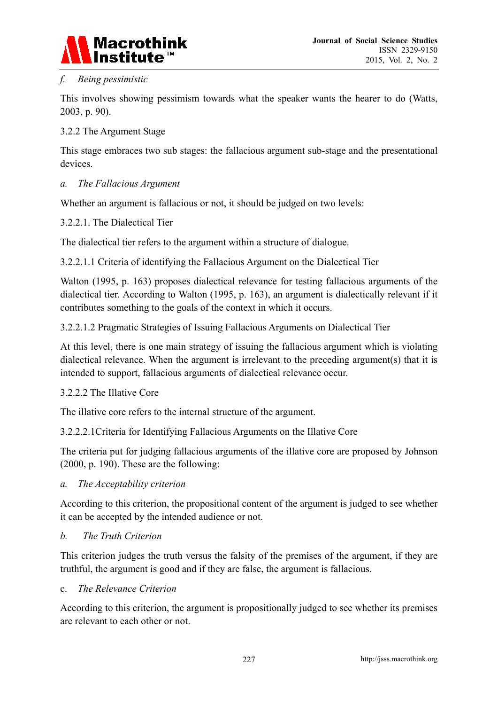

# *f. Being pessimistic*

This involves showing pessimism towards what the speaker wants the hearer to do (Watts, 2003, p. 90).

# 3.2.2 The Argument Stage

This stage embraces two sub stages: the fallacious argument sub-stage and the presentational devices.

# *a. The Fallacious Argument*

Whether an argument is fallacious or not, it should be judged on two levels:

# 3.2.2.1. The Dialectical Tier

The dialectical tier refers to the argument within a structure of dialogue.

3.2.2.1.1 Criteria of identifying the Fallacious Argument on the Dialectical Tier

Walton (1995, p. 163) proposes dialectical relevance for testing fallacious arguments of the dialectical tier. According to Walton (1995, p. 163), an argument is dialectically relevant if it contributes something to the goals of the context in which it occurs.

3.2.2.1.2 Pragmatic Strategies of Issuing Fallacious Arguments on Dialectical Tier

At this level, there is one main strategy of issuing the fallacious argument which is violating dialectical relevance. When the argument is irrelevant to the preceding argument(s) that it is intended to support, fallacious arguments of dialectical relevance occur.

# 3.2.2.2 The Illative Core

The illative core refers to the internal structure of the argument.

3.2.2.2.1Criteria for Identifying Fallacious Arguments on the Illative Core

The criteria put for judging fallacious arguments of the illative core are proposed by Johnson (2000, p. 190). These are the following:

*a. The Acceptability criterion* 

According to this criterion, the propositional content of the argument is judged to see whether it can be accepted by the intended audience or not.

*b. The Truth Criterion* 

This criterion judges the truth versus the falsity of the premises of the argument, if they are truthful, the argument is good and if they are false, the argument is fallacious.

#### c. *The Relevance Criterion*

According to this criterion, the argument is propositionally judged to see whether its premises are relevant to each other or not.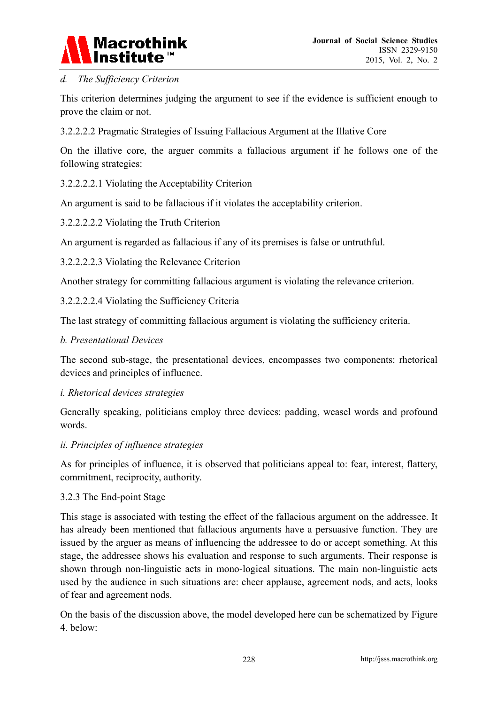

# *d. The Sufficiency Criterion*

This criterion determines judging the argument to see if the evidence is sufficient enough to prove the claim or not.

3.2.2.2.2 Pragmatic Strategies of Issuing Fallacious Argument at the Illative Core

On the illative core, the arguer commits a fallacious argument if he follows one of the following strategies:

3.2.2.2.2.1 Violating the Acceptability Criterion

An argument is said to be fallacious if it violates the acceptability criterion.

3.2.2.2.2.2 Violating the Truth Criterion

An argument is regarded as fallacious if any of its premises is false or untruthful.

3.2.2.2.2.3 Violating the Relevance Criterion

Another strategy for committing fallacious argument is violating the relevance criterion.

3.2.2.2.2.4 Violating the Sufficiency Criteria

The last strategy of committing fallacious argument is violating the sufficiency criteria.

#### *b. Presentational Devices*

The second sub-stage, the presentational devices, encompasses two components: rhetorical devices and principles of influence.

#### *i. Rhetorical devices strategies*

Generally speaking, politicians employ three devices: padding, weasel words and profound words.

#### *ii. Principles of influence strategies*

As for principles of influence, it is observed that politicians appeal to: fear, interest, flattery, commitment, reciprocity, authority.

#### 3.2.3 The End-point Stage

This stage is associated with testing the effect of the fallacious argument on the addressee. It has already been mentioned that fallacious arguments have a persuasive function. They are issued by the arguer as means of influencing the addressee to do or accept something. At this stage, the addressee shows his evaluation and response to such arguments. Their response is shown through non-linguistic acts in mono-logical situations. The main non-linguistic acts used by the audience in such situations are: cheer applause, agreement nods, and acts, looks of fear and agreement nods.

On the basis of the discussion above, the model developed here can be schematized by Figure 4. below: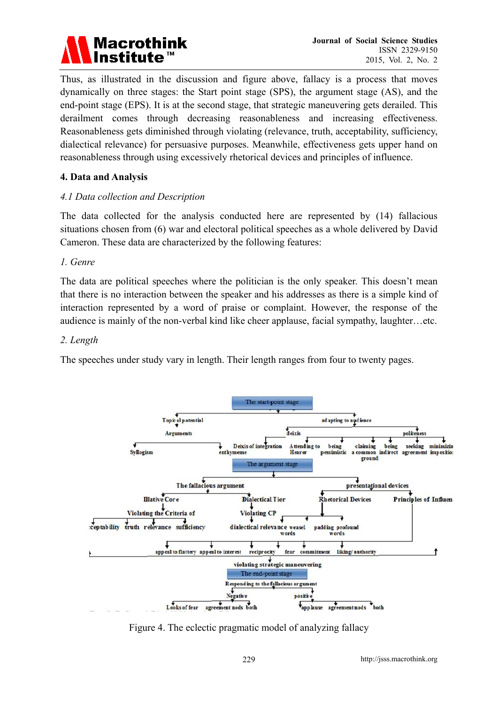# **Macrothink**

Thus, as illustrated in the discussion and figure above, fallacy is a process that moves dynamically on three stages: the Start point stage (SPS), the argument stage (AS), and the end-point stage (EPS). It is at the second stage, that strategic maneuvering gets derailed. This derailment comes through decreasing reasonableness and increasing effectiveness. Reasonableness gets diminished through violating (relevance, truth, acceptability, sufficiency, dialectical relevance) for persuasive purposes. Meanwhile, effectiveness gets upper hand on reasonableness through using excessively rhetorical devices and principles of influence.

# **4. Data and Analysis**

# *4.1 Data collection and Description*

The data collected for the analysis conducted here are represented by (14) fallacious situations chosen from (6) war and electoral political speeches as a whole delivered by David Cameron. These data are characterized by the following features:

# *1. Genre*

The data are political speeches where the politician is the only speaker. This doesn't mean that there is no interaction between the speaker and his addresses as there is a simple kind of interaction represented by a word of praise or complaint. However, the response of the audience is mainly of the non-verbal kind like cheer applause, facial sympathy, laughter…etc.

#### *2. Length*

The speeches under study vary in length. Their length ranges from four to twenty pages.



Figure 4. The eclectic pragmatic model of analyzing fallacy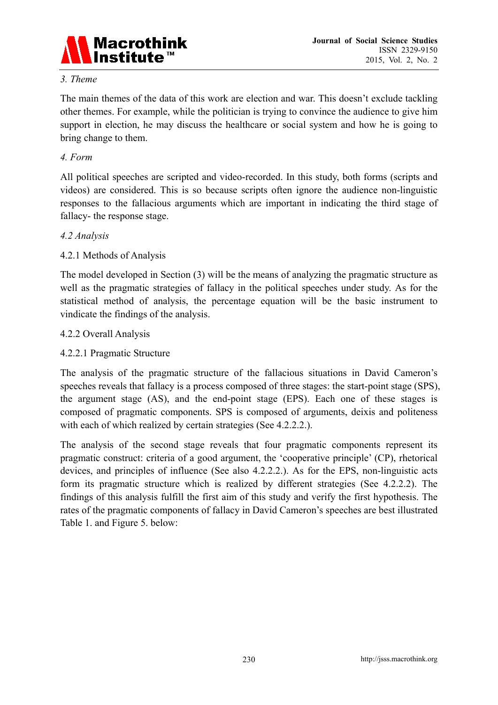

# *3. Theme*

The main themes of the data of this work are election and war. This doesn't exclude tackling other themes. For example, while the politician is trying to convince the audience to give him support in election, he may discuss the healthcare or social system and how he is going to bring change to them.

# *4. Form*

All political speeches are scripted and video-recorded. In this study, both forms (scripts and videos) are considered. This is so because scripts often ignore the audience non-linguistic responses to the fallacious arguments which are important in indicating the third stage of fallacy- the response stage.

#### *4.2 Analysis*

# 4.2.1 Methods of Analysis

The model developed in Section (3) will be the means of analyzing the pragmatic structure as well as the pragmatic strategies of fallacy in the political speeches under study. As for the statistical method of analysis, the percentage equation will be the basic instrument to vindicate the findings of the analysis.

#### 4.2.2 Overall Analysis

#### 4.2.2.1 Pragmatic Structure

The analysis of the pragmatic structure of the fallacious situations in David Cameron's speeches reveals that fallacy is a process composed of three stages: the start-point stage (SPS), the argument stage (AS), and the end-point stage (EPS). Each one of these stages is composed of pragmatic components. SPS is composed of arguments, deixis and politeness with each of which realized by certain strategies (See 4.2.2.2.).

The analysis of the second stage reveals that four pragmatic components represent its pragmatic construct: criteria of a good argument, the 'cooperative principle' (CP), rhetorical devices, and principles of influence (See also 4.2.2.2.). As for the EPS, non-linguistic acts form its pragmatic structure which is realized by different strategies (See 4.2.2.2). The findings of this analysis fulfill the first aim of this study and verify the first hypothesis. The rates of the pragmatic components of fallacy in David Cameron's speeches are best illustrated Table 1. and Figure 5. below: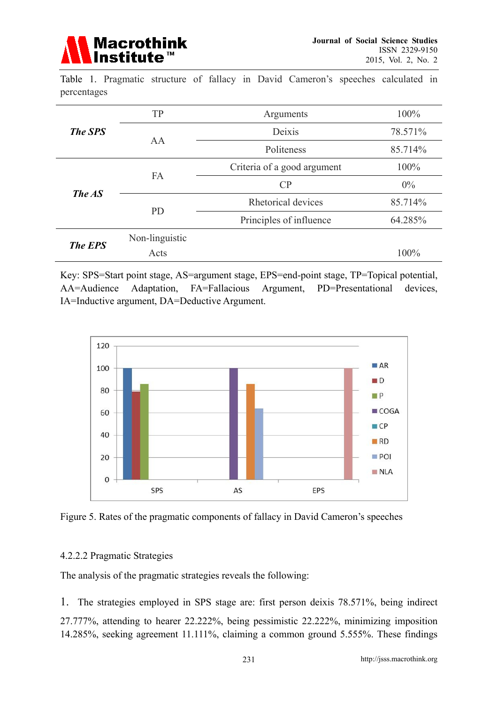

Table 1. Pragmatic structure of fallacy in David Cameron's speeches calculated in percentages

|                | TP             | Arguments                   | 100%    |  |  |
|----------------|----------------|-----------------------------|---------|--|--|
| <b>The SPS</b> |                | Deixis                      | 78.571% |  |  |
|                | AA             | Politeness                  | 85.714% |  |  |
| The AS         | <b>FA</b>      | Criteria of a good argument | 100%    |  |  |
|                |                | CP                          | $0\%$   |  |  |
|                | <b>PD</b>      | Rhetorical devices          | 85.714% |  |  |
|                |                | Principles of influence     | 64.285% |  |  |
| <b>The EPS</b> | Non-linguistic |                             |         |  |  |
|                | Acts           |                             | 100%    |  |  |

Key: SPS=Start point stage, AS=argument stage, EPS=end-point stage, TP=Topical potential, AA=Audience Adaptation, FA=Fallacious Argument, PD=Presentational devices, IA=Inductive argument, DA=Deductive Argument.



Figure 5. Rates of the pragmatic components of fallacy in David Cameron's speeches

# 4.2.2.2 Pragmatic Strategies

The analysis of the pragmatic strategies reveals the following:

1. The strategies employed in SPS stage are: first person deixis 78.571%, being indirect 27.777%, attending to hearer 22.222%, being pessimistic 22.222%, minimizing imposition 14.285%, seeking agreement 11.111%, claiming a common ground 5.555%. These findings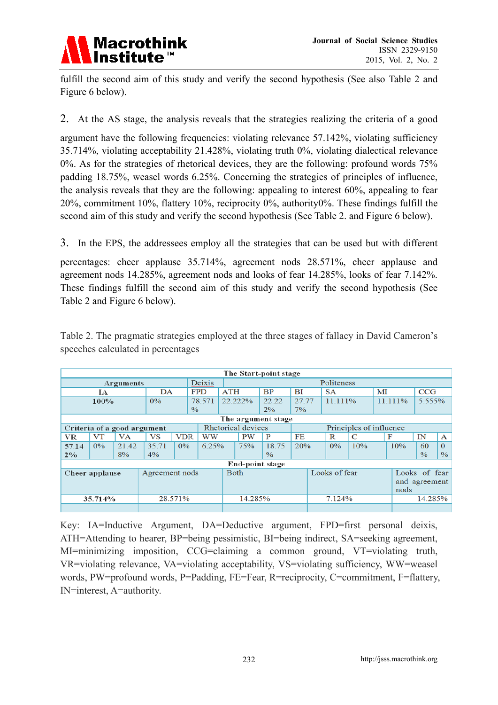

fulfill the second aim of this study and verify the second hypothesis (See also Table 2 and Figure 6 below).

2. At the AS stage, the analysis reveals that the strategies realizing the criteria of a good

argument have the following frequencies: violating relevance 57.142%, violating sufficiency 35.714%, violating acceptability 21.428%, violating truth 0%, violating dialectical relevance 0%. As for the strategies of rhetorical devices, they are the following: profound words 75% padding 18.75%, weasel words 6.25%. Concerning the strategies of principles of influence, the analysis reveals that they are the following: appealing to interest 60%, appealing to fear 20%, commitment 10%, flattery 10%, reciprocity 0%, authority0%. These findings fulfill the second aim of this study and verify the second hypothesis (See Table 2. and Figure 6 below).

3. In the EPS, the addressees employ all the strategies that can be used but with different

percentages: cheer applause 35.714%, agreement nods 28.571%, cheer applause and agreement nods 14.285%, agreement nods and looks of fear 14.285%, looks of fear 7.142%. These findings fulfill the second aim of this study and verify the second hypothesis (See Table 2 and Figure 6 below).

| The Start-point stage            |               |           |       |               |                    |            |           |               |        |                         |             |               |   |         |               |               |
|----------------------------------|---------------|-----------|-------|---------------|--------------------|------------|-----------|---------------|--------|-------------------------|-------------|---------------|---|---------|---------------|---------------|
| Arguments                        |               |           |       | Deixis        |                    | Politeness |           |               |        |                         |             |               |   |         |               |               |
| DA<br>IА                         |               |           |       | <b>FPD</b>    | <b>ATH</b>         |            | BP        | BI            |        | <b>SA</b>               |             | мі            |   | CCG     |               |               |
|                                  | $0\%$<br>100% |           |       | 78.571        |                    | 22.222%    | 22.22     | 27.77         |        | 11.111%                 |             | 11.111%       |   | 5.555%  |               |               |
|                                  |               |           |       | $\frac{0}{0}$ |                    |            | 2%        | 7%            |        |                         |             |               |   |         |               |               |
| The argument stage               |               |           |       |               |                    |            |           |               |        |                         |             |               |   |         |               |               |
| Criteria of a good argument      |               |           |       |               | Rhetorical devices |            |           |               |        | Principles of influence |             |               |   |         |               |               |
| <b>VR</b>                        | <b>VT</b>     | <b>VA</b> | VS    | <b>VDR</b>    | <b>WW</b>          |            | <b>PW</b> | P             | FE     |                         | $\mathbf R$ | C             | F |         | IN            | A             |
| 57.14                            | $0\%$         | 21.42     | 35.71 | $0\%$         |                    | 6.25%      |           | 18.75         | 20%    |                         | $0\%$       | 10%           |   | 10%     | 60            | $\Omega$      |
| $2\%$                            |               | 8%        | $4\%$ |               |                    |            |           | $\frac{0}{0}$ |        |                         |             |               |   |         | $\frac{0}{0}$ | $\frac{0}{0}$ |
| End-point stage                  |               |           |       |               |                    |            |           |               |        |                         |             |               |   |         |               |               |
| Agreement nods<br>Cheer applause |               |           |       |               | <b>Both</b>        |            |           | Looks of fear |        |                         |             | Looks of fear |   |         |               |               |
|                                  |               |           |       |               |                    |            |           |               |        |                         |             | and agreement |   |         |               |               |
|                                  |               |           |       |               |                    |            |           |               |        |                         |             | nods          |   |         |               |               |
| 28.571%<br>35.714%               |               |           |       |               | 14.285%            |            |           |               | 7.124% |                         |             |               |   | 14.285% |               |               |
|                                  |               |           |       |               |                    |            |           |               |        |                         |             |               |   |         |               |               |

Table 2. The pragmatic strategies employed at the three stages of fallacy in David Cameron's speeches calculated in percentages

Key: IA=Inductive Argument, DA=Deductive argument, FPD=first personal deixis, ATH=Attending to hearer, BP=being pessimistic, BI=being indirect, SA=seeking agreement, MI=minimizing imposition, CCG=claiming a common ground, VT=violating truth, VR=violating relevance, VA=violating acceptability, VS=violating sufficiency, WW=weasel words, PW=profound words, P=Padding, FE=Fear, R=reciprocity, C=commitment, F=flattery, IN=interest, A=authority.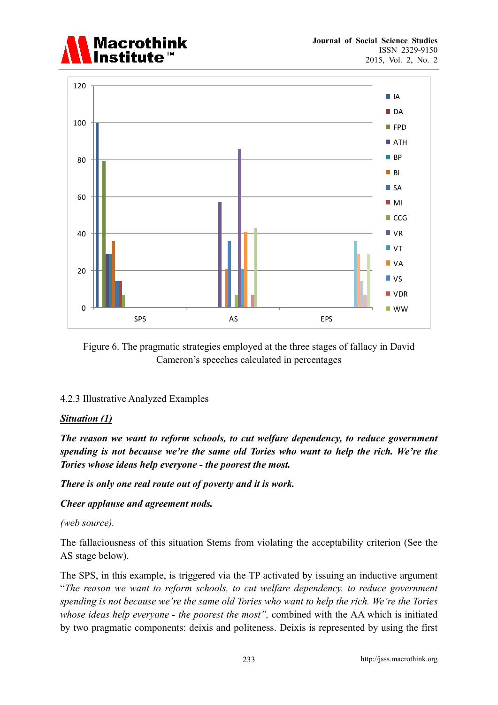



Figure 6. The pragmatic strategies employed at the three stages of fallacy in David Cameron's speeches calculated in percentages

# 4.2.3 Illustrative Analyzed Examples

# *Situation (1)*

*The reason we want to reform schools, to cut welfare dependency, to reduce government spending is not because we're the same old Tories who want to help the rich. We're the Tories whose ideas help everyone - the poorest the most.* 

# *There is only one real route out of poverty and it is work.*

# *Cheer applause and agreement nods.*

#### *(web source).*

The fallaciousness of this situation Stems from violating the acceptability criterion (See the AS stage below).

The SPS, in this example, is triggered via the TP activated by issuing an inductive argument "*The reason we want to reform schools, to cut welfare dependency, to reduce government spending is not because we're the same old Tories who want to help the rich. We're the Tories whose ideas help everyone - the poorest the most",* combined with the AA which is initiated by two pragmatic components: deixis and politeness. Deixis is represented by using the first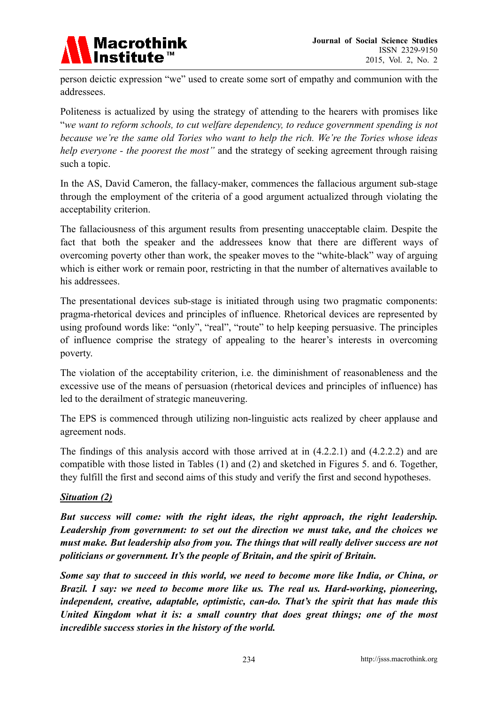

person deictic expression "we" used to create some sort of empathy and communion with the addressees.

Politeness is actualized by using the strategy of attending to the hearers with promises like "*we want to reform schools, to cut welfare dependency, to reduce government spending is not because we're the same old Tories who want to help the rich. We're the Tories whose ideas help everyone - the poorest the most*" and the strategy of seeking agreement through raising such a topic.

In the AS, David Cameron, the fallacy-maker, commences the fallacious argument sub-stage through the employment of the criteria of a good argument actualized through violating the acceptability criterion.

The fallaciousness of this argument results from presenting unacceptable claim. Despite the fact that both the speaker and the addressees know that there are different ways of overcoming poverty other than work, the speaker moves to the "white-black" way of arguing which is either work or remain poor, restricting in that the number of alternatives available to his addressees.

The presentational devices sub-stage is initiated through using two pragmatic components: pragma-rhetorical devices and principles of influence. Rhetorical devices are represented by using profound words like: "only", "real", "route" to help keeping persuasive. The principles of influence comprise the strategy of appealing to the hearer's interests in overcoming poverty.

The violation of the acceptability criterion, i.e. the diminishment of reasonableness and the excessive use of the means of persuasion (rhetorical devices and principles of influence) has led to the derailment of strategic maneuvering.

The EPS is commenced through utilizing non-linguistic acts realized by cheer applause and agreement nods.

The findings of this analysis accord with those arrived at in (4.2.2.1) and (4.2.2.2) and are compatible with those listed in Tables (1) and (2) and sketched in Figures 5. and 6. Together, they fulfill the first and second aims of this study and verify the first and second hypotheses.

# *Situation (2)*

*But success will come: with the right ideas, the right approach, the right leadership. Leadership from government: to set out the direction we must take, and the choices we must make. But leadership also from you. The things that will really deliver success are not politicians or government. It's the people of Britain, and the spirit of Britain.* 

*Some say that to succeed in this world, we need to become more like India, or China, or Brazil. I say: we need to become more like us. The real us. Hard-working, pioneering, independent, creative, adaptable, optimistic, can-do. That's the spirit that has made this United Kingdom what it is: a small country that does great things; one of the most incredible success stories in the history of the world.*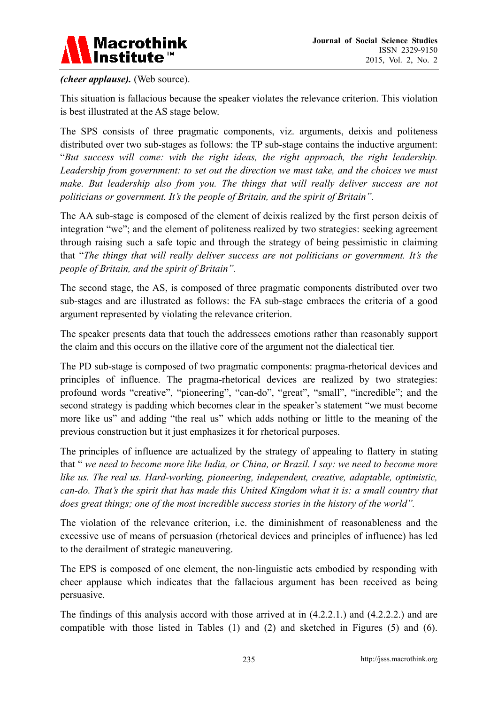

# *(cheer applause).* (Web source).

This situation is fallacious because the speaker violates the relevance criterion. This violation is best illustrated at the AS stage below.

The SPS consists of three pragmatic components, viz. arguments, deixis and politeness distributed over two sub-stages as follows: the TP sub-stage contains the inductive argument: "*But success will come: with the right ideas, the right approach, the right leadership. Leadership from government: to set out the direction we must take, and the choices we must*  make. But leadership also from you. The things that will really deliver success are not *politicians or government. It's the people of Britain, and the spirit of Britain".* 

The AA sub-stage is composed of the element of deixis realized by the first person deixis of integration "we"; and the element of politeness realized by two strategies: seeking agreement through raising such a safe topic and through the strategy of being pessimistic in claiming that "*The things that will really deliver success are not politicians or government. It's the people of Britain, and the spirit of Britain".* 

The second stage, the AS, is composed of three pragmatic components distributed over two sub-stages and are illustrated as follows: the FA sub-stage embraces the criteria of a good argument represented by violating the relevance criterion.

The speaker presents data that touch the addressees emotions rather than reasonably support the claim and this occurs on the illative core of the argument not the dialectical tier.

The PD sub-stage is composed of two pragmatic components: pragma-rhetorical devices and principles of influence. The pragma-rhetorical devices are realized by two strategies: profound words "creative", "pioneering", "can-do", "great", "small", "incredible"; and the second strategy is padding which becomes clear in the speaker's statement "we must become more like us" and adding "the real us" which adds nothing or little to the meaning of the previous construction but it just emphasizes it for rhetorical purposes.

The principles of influence are actualized by the strategy of appealing to flattery in stating that " *we need to become more like India, or China, or Brazil. I say: we need to become more like us. The real us. Hard-working, pioneering, independent, creative, adaptable, optimistic, can-do. That's the spirit that has made this United Kingdom what it is: a small country that does great things; one of the most incredible success stories in the history of the world".*

The violation of the relevance criterion, i.e. the diminishment of reasonableness and the excessive use of means of persuasion (rhetorical devices and principles of influence) has led to the derailment of strategic maneuvering.

The EPS is composed of one element, the non-linguistic acts embodied by responding with cheer applause which indicates that the fallacious argument has been received as being persuasive.

The findings of this analysis accord with those arrived at in (4.2.2.1.) and (4.2.2.2.) and are compatible with those listed in Tables (1) and (2) and sketched in Figures (5) and (6).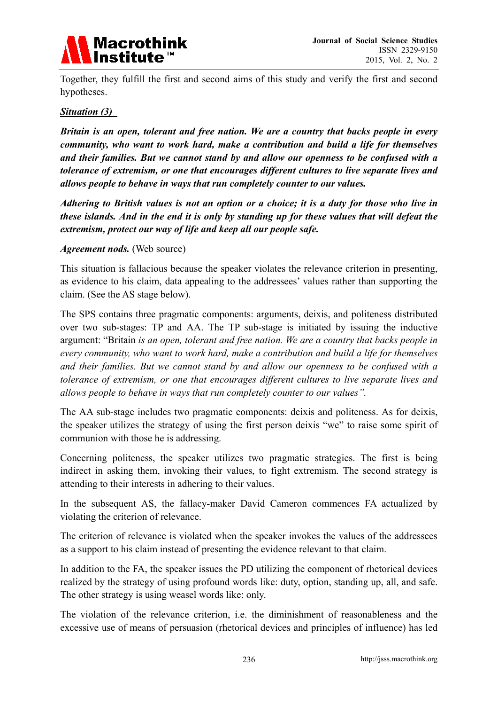

Together, they fulfill the first and second aims of this study and verify the first and second hypotheses.

#### *Situation (3)*

*Britain is an open, tolerant and free nation. We are a country that backs people in every community, who want to work hard, make a contribution and build a life for themselves and their families. But we cannot stand by and allow our openness to be confused with a tolerance of extremism, or one that encourages different cultures to live separate lives and allows people to behave in ways that run completely counter to our values.* 

*Adhering to British values is not an option or a choice; it is a duty for those who live in these islands. And in the end it is only by standing up for these values that will defeat the extremism, protect our way of life and keep all our people safe.* 

#### *Agreement nods.* (Web source)

This situation is fallacious because the speaker violates the relevance criterion in presenting, as evidence to his claim, data appealing to the addressees' values rather than supporting the claim. (See the AS stage below).

The SPS contains three pragmatic components: arguments, deixis, and politeness distributed over two sub-stages: TP and AA. The TP sub-stage is initiated by issuing the inductive argument: "Britain *is an open, tolerant and free nation. We are a country that backs people in every community, who want to work hard, make a contribution and build a life for themselves and their families. But we cannot stand by and allow our openness to be confused with a tolerance of extremism, or one that encourages different cultures to live separate lives and allows people to behave in ways that run completely counter to our values".* 

The AA sub-stage includes two pragmatic components: deixis and politeness. As for deixis, the speaker utilizes the strategy of using the first person deixis "we" to raise some spirit of communion with those he is addressing.

Concerning politeness, the speaker utilizes two pragmatic strategies. The first is being indirect in asking them, invoking their values, to fight extremism. The second strategy is attending to their interests in adhering to their values.

In the subsequent AS, the fallacy-maker David Cameron commences FA actualized by violating the criterion of relevance.

The criterion of relevance is violated when the speaker invokes the values of the addressees as a support to his claim instead of presenting the evidence relevant to that claim.

In addition to the FA, the speaker issues the PD utilizing the component of rhetorical devices realized by the strategy of using profound words like: duty, option, standing up, all, and safe. The other strategy is using weasel words like: only.

The violation of the relevance criterion, i.e. the diminishment of reasonableness and the excessive use of means of persuasion (rhetorical devices and principles of influence) has led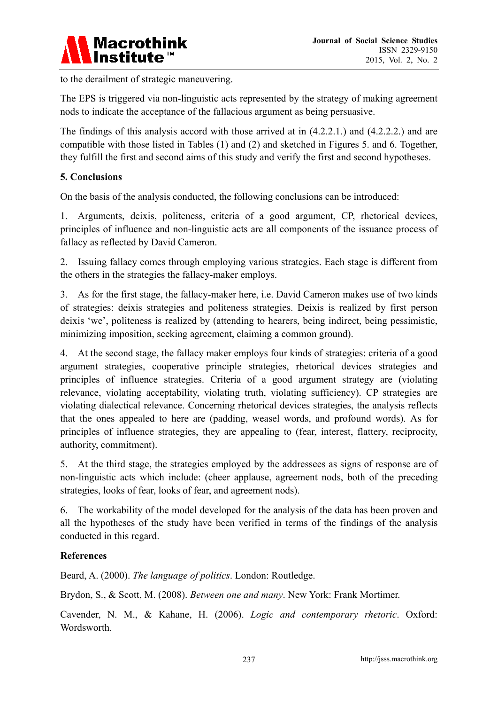

to the derailment of strategic maneuvering.

The EPS is triggered via non-linguistic acts represented by the strategy of making agreement nods to indicate the acceptance of the fallacious argument as being persuasive.

The findings of this analysis accord with those arrived at in (4.2.2.1.) and (4.2.2.2.) and are compatible with those listed in Tables (1) and (2) and sketched in Figures 5. and 6. Together, they fulfill the first and second aims of this study and verify the first and second hypotheses.

# **5. Conclusions**

On the basis of the analysis conducted, the following conclusions can be introduced:

1. Arguments, deixis, politeness, criteria of a good argument, CP, rhetorical devices, principles of influence and non-linguistic acts are all components of the issuance process of fallacy as reflected by David Cameron.

2. Issuing fallacy comes through employing various strategies. Each stage is different from the others in the strategies the fallacy-maker employs.

3. As for the first stage, the fallacy-maker here, i.e. David Cameron makes use of two kinds of strategies: deixis strategies and politeness strategies. Deixis is realized by first person deixis 'we', politeness is realized by (attending to hearers, being indirect, being pessimistic, minimizing imposition, seeking agreement, claiming a common ground).

4. At the second stage, the fallacy maker employs four kinds of strategies: criteria of a good argument strategies, cooperative principle strategies, rhetorical devices strategies and principles of influence strategies. Criteria of a good argument strategy are (violating relevance, violating acceptability, violating truth, violating sufficiency). CP strategies are violating dialectical relevance. Concerning rhetorical devices strategies, the analysis reflects that the ones appealed to here are (padding, weasel words, and profound words). As for principles of influence strategies, they are appealing to (fear, interest, flattery, reciprocity, authority, commitment).

5. At the third stage, the strategies employed by the addressees as signs of response are of non-linguistic acts which include: (cheer applause, agreement nods, both of the preceding strategies, looks of fear, looks of fear, and agreement nods).

6. The workability of the model developed for the analysis of the data has been proven and all the hypotheses of the study have been verified in terms of the findings of the analysis conducted in this regard.

# **References**

Beard, A. (2000). *The language of politics*. London: Routledge.

Brydon, S., & Scott, M. (2008). *Between one and many*. New York: Frank Mortimer.

Cavender, N. M., & Kahane, H. (2006). *Logic and contemporary rhetoric*. Oxford: Wordsworth.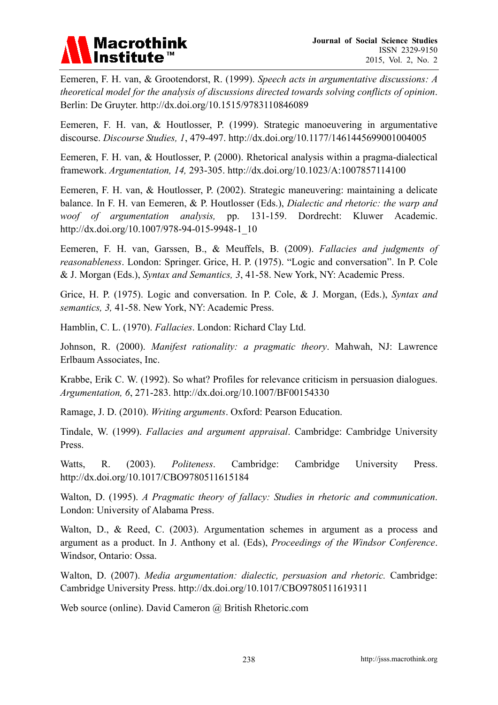

Eemeren, F. H. van, & Grootendorst, R. (1999). *Speech acts in argumentative discussions: A theoretical model for the analysis of discussions directed towards solving conflicts of opinion*. Berlin: De Gruyter. http://dx.doi.org/10.1515/9783110846089

Eemeren, F. H. van, & Houtlosser, P. (1999). Strategic manoeuvering in argumentative discourse. *Discourse Studies, 1*, 479-497. http://dx.doi.org/10.1177/1461445699001004005

Eemeren, F. H. van, & Houtlosser, P. (2000). Rhetorical analysis within a pragma-dialectical framework. *Argumentation, 14,* 293-305. http://dx.doi.org/10.1023/A:1007857114100

Eemeren, F. H. van, & Houtlosser, P. (2002). Strategic maneuvering: maintaining a delicate balance. In F. H. van Eemeren, & P. Houtlosser (Eds.), *Dialectic and rhetoric: the warp and woof of argumentation analysis,* pp. 131-159. Dordrecht: Kluwer Academic. http://dx.doi.org/10.1007/978-94-015-9948-1\_10

Eemeren, F. H. van, Garssen, B., & Meuffels, B. (2009). *Fallacies and judgments of reasonableness*. London: Springer. Grice, H. P. (1975). "Logic and conversation". In P. Cole & J. Morgan (Eds.), *Syntax and Semantics, 3*, 41-58. New York, NY: Academic Press.

Grice, H. P. (1975). Logic and conversation. In P. Cole, & J. Morgan, (Eds.), *Syntax and semantics, 3,* 41-58. New York, NY: Academic Press.

Hamblin, C. L. (1970). *Fallacies*. London: Richard Clay Ltd.

Johnson, R. (2000). *Manifest rationality: a pragmatic theory*. Mahwah, NJ: Lawrence Erlbaum Associates, Inc.

Krabbe, Erik C. W. (1992). So what? Profiles for relevance criticism in persuasion dialogues. *Argumentation, 6*, 271-283. http://dx.doi.org/10.1007/BF00154330

Ramage, J. D. (2010). *Writing arguments*. Oxford: Pearson Education.

Tindale, W. (1999). *Fallacies and argument appraisal*. Cambridge: Cambridge University Press.

Watts, R. (2003). *Politeness*. Cambridge: Cambridge University Press. http://dx.doi.org/10.1017/CBO9780511615184

Walton, D. (1995). *A Pragmatic theory of fallacy: Studies in rhetoric and communication*. London: University of Alabama Press.

Walton, D., & Reed, C. (2003). Argumentation schemes in argument as a process and argument as a product. In J. Anthony et al. (Eds), *Proceedings of the Windsor Conference*. Windsor, Ontario: Ossa.

Walton, D. (2007). *Media argumentation: dialectic, persuasion and rhetoric.* Cambridge: Cambridge University Press. http://dx.doi.org/10.1017/CBO9780511619311

Web source (online). David Cameron @ British Rhetoric.com